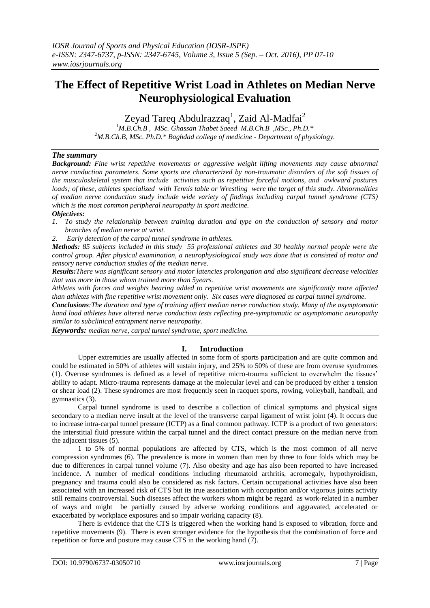# **The Effect of Repetitive Wrist Load in Athletes on Median Nerve Neurophysiological Evaluation**

Zeyad Tareq Abdulrazzaq<sup>1</sup>, Zaid Al-Madfai<sup>2</sup>

*<sup>1</sup>M.B.Ch.B , MSc. Ghassan Thabet Saeed M.B.Ch.B ,MSc., Ph.D.\* <sup>2</sup>M.B.Ch.B, MSc. Ph.D.\* Baghdad college of medicine - Department of physiology.*

# *The summary*

*Background: Fine wrist repetitive movements or aggressive weight lifting movements may cause abnormal nerve conduction parameters. Some sports are characterized by non-traumatic disorders of the soft tissues of the musculoskeletal system that include activities such as repetitive forceful motions, and awkward postures loads; of these, athletes specialized with Tennis table or Wrestling were the target of this study. Abnormalities of median nerve conduction study include wide variety of findings including carpal tunnel syndrome (CTS) which is the most common peripheral neuropathy in sport medicine.*

## *Objectives:*

- *1. To study the relationship between training duration and type on the conduction of sensory and motor branches of median nerve at wrist.*
- *2. Early detection of the carpal tunnel syndrome in athletes.*

*Methods: 85 subjects included in this study 55 professional athletes and 30 healthy normal people were the control group. After physical examination, a neurophysiological study was done that is consisted of motor and sensory nerve conduction studies of the median nerve.* 

*Results:There was significant sensory and motor latencies prolongation and also significant decrease velocities that was more in those whom trained more than 5years.*

*Athletes with forces and weights bearing added to repetitive wrist movements are significantly more affected than athletes with fine repetitive wrist movement only. Six cases were diagnosed as carpal tunnel syndrome.* 

*Conclusions:The duration and type of training affect median nerve conduction study. Many of the asymptomatic hand load athletes have altered nerve conduction tests reflecting pre-symptomatic or asymptomatic neuropathy similar to subclinical entrapment nerve neuropathy.*

*Keywords: median nerve, carpal tunnel syndrome, sport medicine.*

# **I. Introduction**

Upper extremities are usually affected in some form of sports participation and are quite common and could be estimated in 50% of athletes will sustain injury, and 25% to 50% of these are from overuse syndromes (1). Overuse syndromes is defined as a level of repetitive micro-trauma sufficient to overwhelm the tissues' ability to adapt. Micro-trauma represents damage at the molecular level and can be produced by either a tension or shear load (2). These syndromes are most frequently seen in racquet sports, rowing, volleyball, handball, and gymnastics (3).

Carpal tunnel syndrome is used to describe a collection of clinical symptoms and physical signs secondary to a median nerve insult at the level of the transverse carpal ligament of wrist joint (4). It occurs due to increase intra-carpal tunnel pressure (ICTP) as a final common pathway. ICTP is a product of two generators: the interstitial fluid pressure within the carpal tunnel and the direct contact pressure on the median nerve from the adjacent tissues (5).

1 to 5% of normal populations are affected by CTS, which is the most common of all nerve compression syndromes (6). The prevalence is more in women than men by three to four folds which may be due to differences in carpal tunnel volume (7). Also obesity and age has also been reported to have increased incidence. A number of medical conditions including rheumatoid arthritis, acromegaly, hypothyroidism, pregnancy and trauma could also be considered as risk factors. Certain occupational activities have also been associated with an increased risk of CTS but its true association with occupation and/or vigorous joints activity still remains controversial. Such diseases affect the workers whom might be regard as work-related in a number of ways and might be partially caused by adverse working conditions and aggravated, accelerated or exacerbated by workplace exposures and so impair working capacity (8).

There is evidence that the CTS is triggered when the working hand is exposed to vibration, force and repetitive movements (9). There is even stronger evidence for the hypothesis that the combination of force and repetition or force and posture may cause CTS in the working hand (7).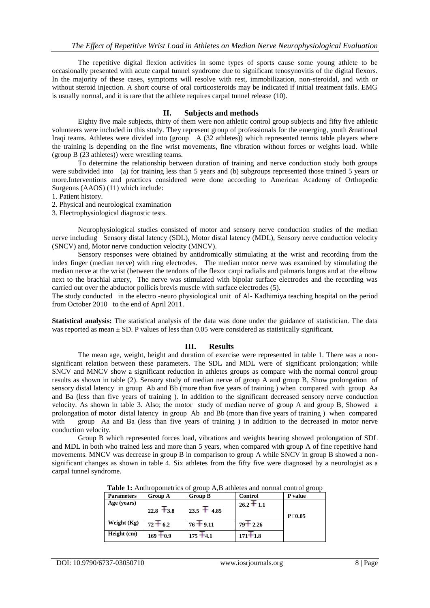The repetitive digital flexion activities in some types of sports cause some young athlete to be occasionally presented with acute carpal tunnel syndrome due to significant tenosynovitis of the digital flexors. In the majority of these cases, symptoms will resolve with rest, immobilization, non-steroidal, and with or without steroid injection. A short course of oral corticosteroids may be indicated if initial treatment fails. EMG is usually normal, and it is rare that the athlete requires carpal tunnel release (10).

#### **II. Subjects and methods**

Eighty five male subjects, thirty of them were non athletic control group subjects and fifty five athletic volunteers were included in this study. They represent group of professionals for the emerging, youth &national Iraqi teams. Athletes were divided into (group A (32 athletes)) which represented tennis table players where the training is depending on the fine wrist movements, fine vibration without forces or weights load. While (group B (23 athletes)) were wrestling teams.

To determine the relationship between duration of training and nerve conduction study both groups were subdivided into (a) for training less than 5 years and (b) subgroups represented those trained 5 years or more.Interventions and practices considered were done according to American Academy of Orthopedic Surgeons (AAOS) (11) which include:

1. Patient history.

2. Physical and neurological examination

3. Electrophysiological diagnostic tests.

Neurophysiological studies consisted of motor and sensory nerve conduction studies of the median nerve including Sensory distal latency (SDL), Motor distal latency (MDL), Sensory nerve conduction velocity (SNCV) and, Motor nerve conduction velocity (MNCV).

Sensory responses were obtained by antidromically stimulating at the wrist and recording from the index finger (median nerve) with ring electrodes. The median motor nerve was examined by stimulating the median nerve at the wrist (between the tendons of the flexor carpi radialis and palmaris longus and at the elbow next to the brachial artery, The nerve was stimulated with bipolar surface electrodes and the recording was carried out over the abductor pollicis brevis muscle with surface electrodes (5).

The study conducted in the electro -neuro physiological unit of Al- Kadhimiya teaching hospital on the period from October 2010 to the end of April 2011.

**Statistical analysis:** The statistical analysis of the data was done under the guidance of statistician. The data was reported as mean  $\pm$  SD. P values of less than 0.05 were considered as statistically significant.

### **III. Results**

The mean age, weight, height and duration of exercise were represented in table 1. There was a nonsignificant relation between these parameters. The SDL and MDL were of significant prolongation; while SNCV and MNCV show a significant reduction in athletes groups as compare with the normal control group results as shown in table (2). Sensory study of median nerve of group A and group B, Show prolongation of sensory distal latency in group Ab and Bb (more than five years of training ) when compared with group Aa and Ba (less than five years of training ). In addition to the significant decreased sensory nerve conduction velocity. As shown in table 3. Also; the motor study of median nerve of group A and group B, Showed a prolongation of motor distal latency in group Ab and Bb (more than five years of training ) when compared with group Aa and Ba (less than five years of training ) in addition to the decreased in motor nerve conduction velocity.

Group B which represented forces load, vibrations and weights bearing showed prolongation of SDL and MDL in both who trained less and more than 5 years, when compared with group A of fine repetitive hand movements. MNCV was decrease in group B in comparison to group A while SNCV in group B showed a nonsignificant changes as shown in table 4. Six athletes from the fifty five were diagnosed by a neurologist as a carpal tunnel syndrome.

| <b>Tuble 1:</b> Thinhopometries of group T <sub>1</sub> D anneles and hormal control group |              |                 |                |               |
|--------------------------------------------------------------------------------------------|--------------|-----------------|----------------|---------------|
| <b>Parameters</b>                                                                          | Group A      | <b>Group B</b>  | <b>Control</b> | P value       |
| Age (years)                                                                                | $22.8 + 3.8$ | $23.5 \pm 4.85$ | $26.2 + 1.1$   | $P \Box 0.05$ |
| Weight $(Kg)$                                                                              | $72 + 6.2$   | $76 + 9.11$     | $79 + 2.26$    |               |
| Height (cm)                                                                                | $169 + 0.9$  | $175 + 4.1$     | $171 + 1.8$    |               |

**Table 1:** Anthropometrics of group A,B athletes and normal control group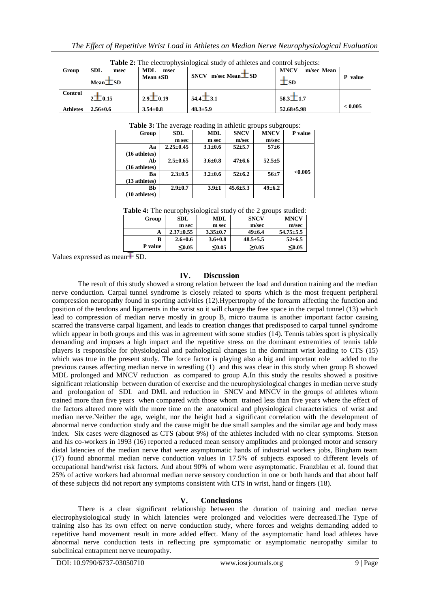| Group           | <b>SDL</b><br>msec<br>Mean <b>ESD</b>   | MDL<br>msec<br>Mean $\pm SD$ | m/sec Mean $TSD$<br><b>SNCV</b> | <b>MNCV</b><br>m/sec Mean<br>U SD | P value |
|-----------------|-----------------------------------------|------------------------------|---------------------------------|-----------------------------------|---------|
| <b>Control</b>  | $2\mathbf{\mathbf{\underline{I}}}$ 0.15 | $2.9 \pm 0.19$               | $54.4\pm3.1$                    | $58.3 \pm 1.7$                    |         |
| <b>Athletes</b> | $2.56 \pm 0.6$                          | $3.54 \pm 0.8$               | $48.3 \pm 5.9$                  | $52.68 \pm 5.98$                  | < 0.005 |

**Table 2:** The electrophysiological study of athletes and control subjects:

**Table 3:** The average reading in athletic groups subgroups:

| Group         | <b>SDL</b>      | <b>MDL</b>    | <b>SNCV</b>    | <b>MNCV</b>  | P value |
|---------------|-----------------|---------------|----------------|--------------|---------|
|               | m sec           | m sec         | m/sec          | m/sec        |         |
| Aа            | $2.25 \pm 0.45$ | $3.1 \pm 0.6$ | $52 + 5.7$     | $57 + 6$     |         |
| (16 athletes) |                 |               |                |              |         |
| Ab            | $2.5 \pm 0.65$  | $3.6 \pm 0.8$ | $47 + 6.6$     | $52.5+5$     |         |
| (16 athletes) |                 |               |                |              |         |
| Ba            | $2.3 \pm 0.5$   | $3.2 \pm 0.6$ | $52 \pm 6.2$   | $56 + 7$     | < 0.005 |
| (13 athletes) |                 |               |                |              |         |
| Bb            | $2.9 + 0.7$     | $3.9 + 1$     | $45.6 \pm 5.3$ | $49 \pm 6.2$ |         |
| (10 athletes) |                 |               |                |              |         |

**Table 4:** The neurophysiological study of the 2 groups studied:

| Group   | <b>SDL</b>      | MDL.           | <b>SNCV</b>    | <b>MNCV</b>     |
|---------|-----------------|----------------|----------------|-----------------|
|         | m sec           | m sec          | m/sec          | m/sec           |
| A       | $2.37 \pm 0.55$ | $3.35 \pm 0.7$ | $49 \pm 6.4$   | $54.75 \pm 5.5$ |
| в       | $2.6 \pm 0.6$   | $3.6 \pm 0.8$  | $48.5 \pm 5.5$ | $52 \pm 6.5$    |
| P value | $0.05$          | $0.05$         | >0.05          | $0.05$          |

Values expressed as mean $\overline{+}$  SD.

## **IV. Discussion**

The result of this study showed a strong relation between the load and duration training and the median nerve conduction. Carpal tunnel syndrome is closely related to sports which is the most frequent peripheral compression neuropathy found in sporting activities (12).Hypertrophy of the forearm affecting the function and position of the tendons and ligaments in the wrist so it will change the free space in the carpal tunnel (13) which lead to compression of median nerve mostly in group B, micro trauma is another important factor causing scarred the transverse carpal ligament, and leads to creation changes that predisposed to carpal tunnel syndrome which appear in both groups and this was in agreement with some studies (14). Tennis tables sport is physically demanding and imposes a high impact and the repetitive stress on the dominant extremities of tennis table players is responsible for physiological and pathological changes in the dominant wrist leading to CTS (15) which was true in the present study. The force factor is playing also a big and important role added to the previous causes affecting median nerve in wrestling (1) and this was clear in this study when group B showed MDL prolonged and MNCV reduction as compared to group A.In this study the results showed a positive significant relationship between duration of exercise and the neurophysiological changes in median nerve study and prolongation of SDL and DML and reduction in SNCV and MNCV in the groups of athletes whom trained more than five years when compared with those whom trained less than five years where the effect of the factors altered more with the more time on the anatomical and physiological characteristics of wrist and median nerve.Neither the age, weight, nor the height had a significant correlation with the development of abnormal nerve conduction study and the cause might be due small samples and the similar age and body mass index. Six cases were diagnosed as CTS (about 9%) of the athletes included with no clear symptoms. Stetson and his co-workers in 1993 (16) reported a reduced mean sensory amplitudes and prolonged motor and sensory distal latencies of the median nerve that were asymptomatic hands of industrial workers jobs, Bingham team (17) found abnormal median nerve conduction values in 17.5% of subjects exposed to different levels of occupational hand/wrist risk factors. And about 90% of whom were asymptomatic. Franzblau et al. found that 25% of active workers had abnormal median nerve sensory conduction in one or both hands and that about half of these subjects did not report any symptoms consistent with CTS in wrist, hand or fingers (18).

# **V. Conclusions**

There is a clear significant relationship between the duration of training and median nerve electrophysiological study in which latencies were prolonged and velocities were decreased.The Type of training also has its own effect on nerve conduction study, where forces and weights demanding added to repetitive hand movement result in more added effect. Many of the asymptomatic hand load athletes have abnormal nerve conduction tests in reflecting pre symptomatic or asymptomatic neuropathy similar to subclinical entrapment nerve neuropathy.